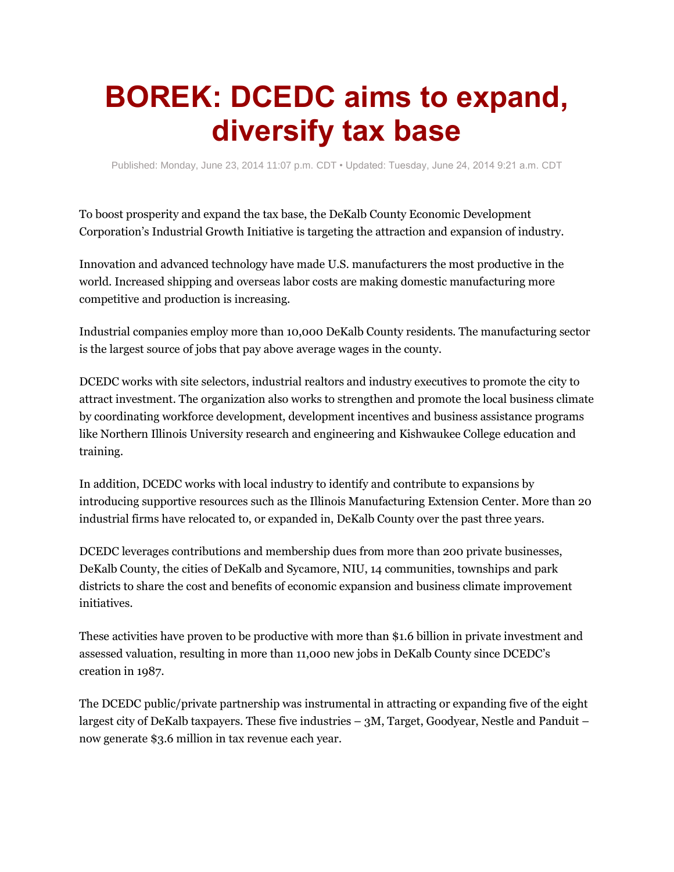## **BOREK: DCEDC aims to expand, diversify tax base**

Published: Monday, June 23, 2014 11:07 p.m. CDT • Updated: Tuesday, June 24, 2014 9:21 a.m. CDT

To boost prosperity and expand the tax base, the DeKalb County Economic Development Corporation's Industrial Growth Initiative is targeting the attraction and expansion of industry.

Innovation and advanced technology have made U.S. manufacturers the most productive in the world. Increased shipping and overseas labor costs are making domestic manufacturing more competitive and production is increasing.

Industrial companies employ more than 10,000 DeKalb County residents. The manufacturing sector is the largest source of jobs that pay above average wages in the county.

DCEDC works with site selectors, industrial realtors and industry executives to promote the city to attract investment. The organization also works to strengthen and promote the local business climate by coordinating workforce development, development incentives and business assistance programs like Northern Illinois University research and engineering and Kishwaukee College education and training.

In addition, DCEDC works with local industry to identify and contribute to expansions by introducing supportive resources such as the Illinois Manufacturing Extension Center. More than 20 industrial firms have relocated to, or expanded in, DeKalb County over the past three years.

DCEDC leverages contributions and membership dues from more than 200 private businesses, DeKalb County, the cities of DeKalb and Sycamore, NIU, 14 communities, townships and park districts to share the cost and benefits of economic expansion and business climate improvement initiatives.

These activities have proven to be productive with more than \$1.6 billion in private investment and assessed valuation, resulting in more than 11,000 new jobs in DeKalb County since DCEDC's creation in 1987.

The DCEDC public/private partnership was instrumental in attracting or expanding five of the eight largest city of DeKalb taxpayers. These five industries – 3M, Target, Goodyear, Nestle and Panduit – now generate \$3.6 million in tax revenue each year.